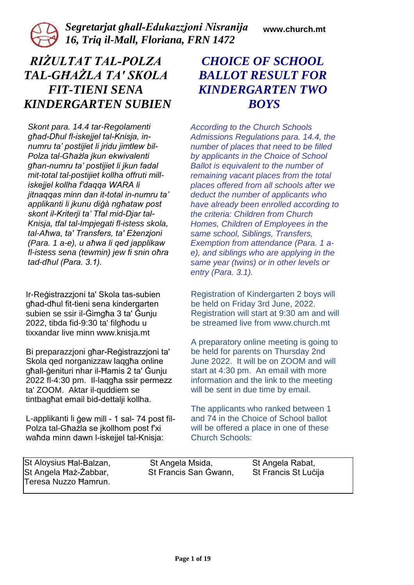

*Segretarjat għall-Edukazzjoni Nisranija 16, Triq il-Mall, Floriana, FRN 1472*

**www.church.mt**

# *RIŻULTAT TAL-POLZA TAL-GĦAŻLA TA' SKOLA FIT-TIENI SENA KINDERGARTEN SUBIEN*

*Skont para. 14.4 tar-Regolamenti għad-Dħul fl-iskejjel tal-Knisja, innumru ta' postijiet li jridu jimtlew bil-Polza tal-Għażla jkun ekwivalenti għan-numru ta' postijiet li jkun fadal mit-total tal-postijiet kollha offruti milliskejjel kollha f'daqqa WARA li jitnaqqas minn dan it-total in-numru ta' applikanti li jkunu diġà ngħataw post skont il-Kriterji ta' Tfal mid-Djar tal-Knisja, tfal tal-Impjegati fl-istess skola, tal-Aħwa, ta' Transfers, ta' Eżenzjoni (Para. 1 a-e), u aħwa li qed japplikaw fl-istess sena (tewmin) jew fi snin oħra tad-dħul (Para. 3.1).* 

Ir-Reġistrazzjoni ta' Skola tas-subien għad-dħul fit-tieni sena kindergarten subien se ssir il-Ġimgħa 3 ta' Ġunju 2022, tibda fid-9:30 ta' filgħodu u tixxandar live minn www.knisja.mt

Bi preparazzjoni għar-Reġistrazzjoni ta' Skola qed norganizzaw laqgħa online għall-ġenituri nhar il-Ħamis 2 ta' Ġunju 2022 fl-4:30 pm. Il-laqgħa ssir permezz ta' ZOOM. Aktar il-quddiem se tintbagħat email bid-dettalji kollha.

L-applikanti li ġew mill - 1 sal- 74 post fil-Polza tal-Għażla se jkollhom post f'xi waħda minn dawn l-iskejjel tal-Knisja:

# *CHOICE OF SCHOOL BALLOT RESULT FOR KINDERGARTEN TWO BOYS*

*According to the Church Schools Admissions Regulations para. 14.4, the number of places that need to be filled by applicants in the Choice of School Ballot is equivalent to the number of remaining vacant places from the total places offered from all schools after we deduct the number of applicants who have already been enrolled according to the criteria: Children from Church Homes, Children of Employees in the same school, Siblings, Transfers, Exemption from attendance (Para. 1 ae), and siblings who are applying in the same year (twins) or in other levels or entry (Para. 3.1).* 

Registration of Kindergarten 2 boys will be held on Friday 3rd June, 2022. Registration will start at 9:30 am and will be streamed live from www.church.mt

A preparatory online meeting is going to be held for parents on Thursday 2nd June 2022. It will be on ZOOM and will start at 4:30 pm. An email with more information and the link to the meeting will be sent in due time by email.

The applicants who ranked between 1 and 74 in the Choice of School ballot will be offered a place in one of these Church Schools:

St Aloysius Hal-Balzan, St Angela Msida, St Angela Rabat, St Angela Ħaż-Żabbar, St Francis San Ġwann, St Francis St Luċija Teresa Nuzzo Ħamrun.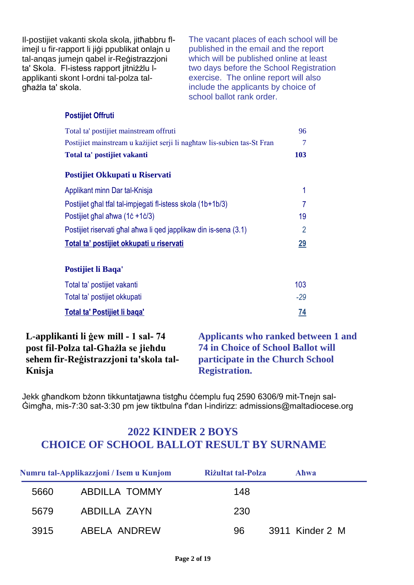Il-postijiet vakanti skola skola, jitħabbru flimejl u fir-rapport li jiġi ppublikat onlajn u tal-anqas jumejn qabel ir-Reġistrazzjoni ta' Skola. Fl-istess rapport jitniżżlu lapplikanti skont l-ordni tal-polza talgħażla ta' skola.

The vacant places of each school will be published in the email and the report which will be published online at least two days before the School Registration exercise. The online report will also include the applicants by choice of school ballot rank order.

#### **Postijiet Offruti**

| Total ta' postijiet mainstream offruti                                  | 96             |
|-------------------------------------------------------------------------|----------------|
| Postijiet mainstream u każijiet serji li naghtaw lis-subien tas-St Fran | 7              |
| Total ta' postijiet vakanti                                             | 103            |
| Postijiet Okkupati u Riservati                                          |                |
| Applikant minn Dar tal-Knisja                                           | 1              |
| Postijiet ghal tfal tal-impjegati fl-istess skola (1b+1b/3)             | 7              |
| Postijiet ghal ahwa (1c +1c/3)                                          | 19             |
| Postijiet riservati ghal ahwa li ged japplikaw din is-sena (3.1)        | $\overline{2}$ |
| Total ta' postijiet okkupati u riservati                                | 29             |
|                                                                         |                |
| Postijiet li Baqa'                                                      |                |
| Total ta' postijiet vakanti                                             | 103            |
| Total ta' postijiet okkupati                                            | $-29$          |
| Total ta' Postijiet li baga'                                            | 74             |

#### **L-applikanti li ġew mill - 1 sal- 74 post fil-Polza tal-Għażla se jieħdu sehem fir-Reġistrazzjoni ta'skola tal-Knisja**

**Applicants who ranked between 1 and 74 in Choice of School Ballot will participate in the Church School Registration.**

Jekk għandkom bżonn tikkuntatjawna tistgħu ċċemplu fuq 2590 6306/9 mit-Tnejn sal-Ġimgħa, mis-7:30 sat-3:30 pm jew tiktbulna f'dan l-indirizz: admissions@maltadiocese.org

|      | Numru tal-Applikazzjoni / Isem u Kunjom | Rizultat tal-Polza | Ahwa            |
|------|-----------------------------------------|--------------------|-----------------|
| 5660 | <b>ABDILLA TOMMY</b>                    | 148                |                 |
| 5679 | ABDILLA ZAYN                            | 230                |                 |
| 3915 | ABELA ANDREW                            | 96                 | 3911 Kinder 2 M |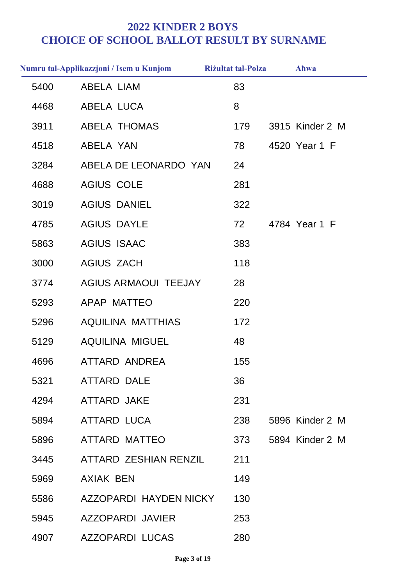|      | Numru tal-Applikazzjoni / Isem u Kunjom | <b>Riżultat tal-Polza</b> | Ahwa            |
|------|-----------------------------------------|---------------------------|-----------------|
| 5400 | <b>ABELA LIAM</b>                       | 83                        |                 |
| 4468 | ABELA LUCA                              | 8                         |                 |
| 3911 | <b>ABELA THOMAS</b>                     | 179                       | 3915 Kinder 2 M |
| 4518 | ABELA YAN                               | 78                        | 4520 Year 1 F   |
| 3284 | ABELA DE LEONARDO YAN                   | 24                        |                 |
| 4688 | <b>AGIUS COLE</b>                       | 281                       |                 |
| 3019 | <b>AGIUS DANIEL</b>                     | 322                       |                 |
| 4785 | <b>AGIUS DAYLE</b>                      | 72                        | 4784 Year 1 F   |
| 5863 | <b>AGIUS ISAAC</b>                      | 383                       |                 |
| 3000 | <b>AGIUS ZACH</b>                       | 118                       |                 |
| 3774 | <b>AGIUS ARMAOUI TEEJAY</b>             | 28                        |                 |
| 5293 | APAP MATTEO                             | 220                       |                 |
| 5296 | <b>AQUILINA MATTHIAS</b>                | 172                       |                 |
| 5129 | <b>AQUILINA MIGUEL</b>                  | 48                        |                 |
| 4696 | ATTARD ANDREA                           | 155                       |                 |
| 5321 | <b>ATTARD DALE</b>                      | 36                        |                 |
| 4294 | ATTARD JAKE                             | 231                       |                 |
| 5894 | ATTARD LUCA                             | 238                       | 5896 Kinder 2 M |
| 5896 | ATTARD MATTEO                           | 373                       | 5894 Kinder 2 M |
| 3445 | ATTARD ZESHIAN RENZIL                   | 211                       |                 |
| 5969 | AXIAK BEN                               | 149                       |                 |
| 5586 | AZZOPARDI HAYDEN NICKY                  | 130                       |                 |
| 5945 | AZZOPARDI JAVIER                        | 253                       |                 |
| 4907 | <b>AZZOPARDI LUCAS</b>                  | 280                       |                 |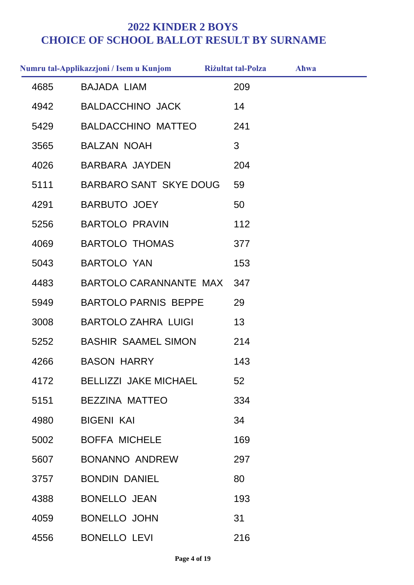|      | Numru tal-Applikazzjoni / Isem u Kunjom | <b>Riżultat tal-Polza</b> | Ahwa |  |
|------|-----------------------------------------|---------------------------|------|--|
| 4685 | <b>BAJADA LIAM</b>                      | 209                       |      |  |
| 4942 | <b>BALDACCHINO JACK</b>                 | 14                        |      |  |
| 5429 | <b>BALDACCHINO MATTEO</b>               | 241                       |      |  |
| 3565 | <b>BALZAN NOAH</b>                      | 3                         |      |  |
| 4026 | <b>BARBARA JAYDEN</b>                   | 204                       |      |  |
| 5111 | <b>BARBARO SANT SKYE DOUG</b>           | 59                        |      |  |
| 4291 | <b>BARBUTO JOEY</b>                     | 50                        |      |  |
| 5256 | <b>BARTOLO PRAVIN</b>                   | 112                       |      |  |
| 4069 | <b>BARTOLO THOMAS</b>                   | 377                       |      |  |
| 5043 | <b>BARTOLO YAN</b>                      | 153                       |      |  |
| 4483 | BARTOLO CARANNANTE MAX                  | 347                       |      |  |
| 5949 | <b>BARTOLO PARNIS BEPPE</b>             | 29                        |      |  |
| 3008 | <b>BARTOLO ZAHRA LUIGI</b>              | 13                        |      |  |
| 5252 | <b>BASHIR SAAMEL SIMON</b>              | 214                       |      |  |
| 4266 | <b>BASON HARRY</b>                      | 143                       |      |  |
| 4172 | <b>BELLIZZI JAKE MICHAEL</b>            | 52                        |      |  |
| 5151 | <b>BEZZINA MATTEO</b>                   | 334                       |      |  |
| 4980 | <b>BIGENI KAI</b>                       | 34                        |      |  |
| 5002 | <b>BOFFA MICHELE</b>                    | 169                       |      |  |
| 5607 | <b>BONANNO ANDREW</b>                   | 297                       |      |  |
| 3757 | <b>BONDIN DANIEL</b>                    | 80                        |      |  |
| 4388 | <b>BONELLO JEAN</b>                     | 193                       |      |  |
| 4059 | <b>BONELLO JOHN</b>                     | 31                        |      |  |
| 4556 | <b>BONELLO LEVI</b>                     | 216                       |      |  |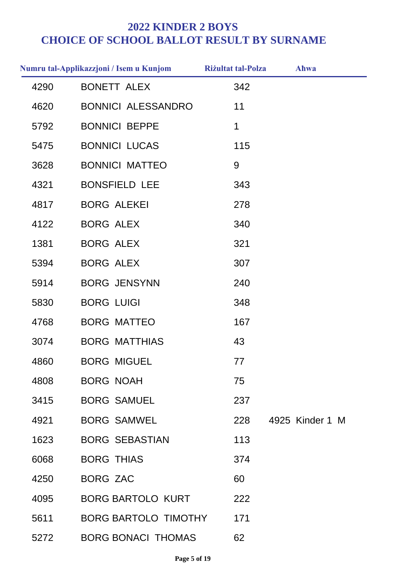|      | Numru tal-Applikazzjoni / Isem u Kunjom | <b>Rizultat tal-Polza</b> | Ahwa            |
|------|-----------------------------------------|---------------------------|-----------------|
| 4290 | <b>BONETT ALEX</b>                      | 342                       |                 |
| 4620 | <b>BONNICI ALESSANDRO</b>               | 11                        |                 |
| 5792 | <b>BONNICI BEPPE</b>                    | 1                         |                 |
| 5475 | <b>BONNICI LUCAS</b>                    | 115                       |                 |
| 3628 | <b>BONNICI MATTEO</b>                   | 9                         |                 |
| 4321 | <b>BONSFIELD LEE</b>                    | 343                       |                 |
| 4817 | <b>BORG ALEKEI</b>                      | 278                       |                 |
| 4122 | <b>BORG ALEX</b>                        | 340                       |                 |
| 1381 | <b>BORG ALEX</b>                        | 321                       |                 |
| 5394 | <b>BORG ALEX</b>                        | 307                       |                 |
| 5914 | <b>BORG JENSYNN</b>                     | 240                       |                 |
| 5830 | <b>BORG LUIGI</b>                       | 348                       |                 |
| 4768 | <b>BORG MATTEO</b>                      | 167                       |                 |
| 3074 | <b>BORG MATTHIAS</b>                    | 43                        |                 |
| 4860 | <b>BORG MIGUEL</b>                      | 77                        |                 |
| 4808 | <b>BORG NOAH</b>                        | 75                        |                 |
| 3415 | <b>BORG SAMUEL</b>                      | 237                       |                 |
| 4921 | <b>BORG SAMWEL</b>                      | 228                       | 4925 Kinder 1 M |
| 1623 | <b>BORG SEBASTIAN</b>                   | 113                       |                 |
| 6068 | <b>BORG THIAS</b>                       | 374                       |                 |
| 4250 | <b>BORG ZAC</b>                         | 60                        |                 |
| 4095 | <b>BORG BARTOLO KURT</b>                | 222                       |                 |
| 5611 | <b>BORG BARTOLO TIMOTHY</b>             | 171                       |                 |
| 5272 | <b>BORG BONACI THOMAS</b>               | 62                        |                 |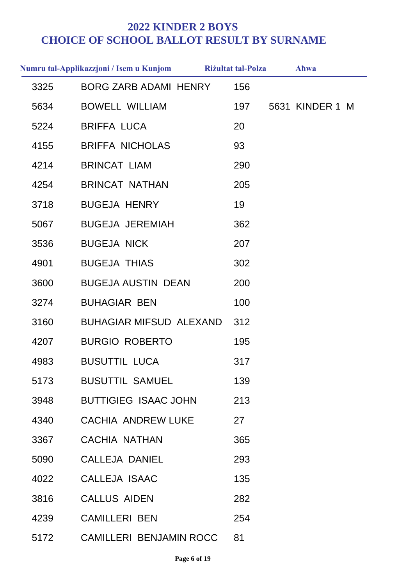|      | Numru tal-Applikazzjoni / Isem u Kunjom | <b>Riżultat tal-Polza</b> | Ahwa            |
|------|-----------------------------------------|---------------------------|-----------------|
| 3325 | <b>BORG ZARB ADAMI HENRY</b>            | 156                       |                 |
| 5634 | <b>BOWELL WILLIAM</b>                   | 197                       | 5631 KINDER 1 M |
| 5224 | <b>BRIFFA LUCA</b>                      | 20                        |                 |
| 4155 | <b>BRIFFA NICHOLAS</b>                  | 93                        |                 |
| 4214 | <b>BRINCAT LIAM</b>                     | 290                       |                 |
| 4254 | <b>BRINCAT NATHAN</b>                   | 205                       |                 |
| 3718 | <b>BUGEJA HENRY</b>                     | 19                        |                 |
| 5067 | <b>BUGEJA JEREMIAH</b>                  | 362                       |                 |
| 3536 | <b>BUGEJA NICK</b>                      | 207                       |                 |
| 4901 | <b>BUGEJA THIAS</b>                     | 302                       |                 |
| 3600 | <b>BUGEJA AUSTIN DEAN</b>               | 200                       |                 |
| 3274 | <b>BUHAGIAR BEN</b>                     | 100                       |                 |
| 3160 | <b>BUHAGIAR MIFSUD ALEXAND</b>          | 312                       |                 |
| 4207 | <b>BURGIO ROBERTO</b>                   | 195                       |                 |
| 4983 | <b>BUSUTTIL LUCA</b>                    | 317                       |                 |
| 5173 | <b>BUSUTTIL SAMUEL</b>                  | 139                       |                 |
| 3948 | <b>BUTTIGIEG ISAAC JOHN</b>             | 213                       |                 |
| 4340 | <b>CACHIA ANDREW LUKE</b>               | 27                        |                 |
| 3367 | <b>CACHIA NATHAN</b>                    | 365                       |                 |
| 5090 | CALLEJA DANIEL                          | 293                       |                 |
| 4022 | CALLEJA ISAAC                           | 135                       |                 |
| 3816 | <b>CALLUS AIDEN</b>                     | 282                       |                 |
| 4239 | <b>CAMILLERI BEN</b>                    | 254                       |                 |
| 5172 | <b>CAMILLERI BENJAMIN ROCC</b>          | 81                        |                 |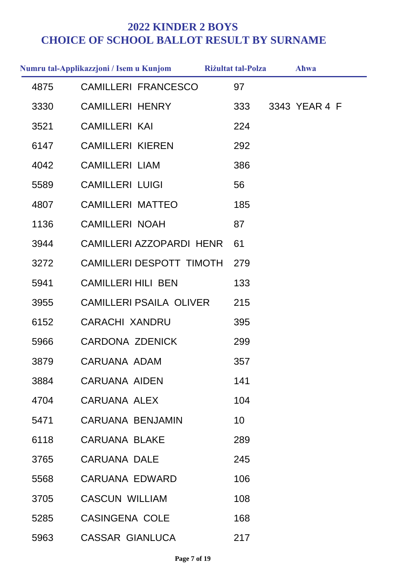|      | Numru tal-Applikazzjoni / Isem u Kunjom | <b>Rizultat tal-Polza</b> | Ahwa          |
|------|-----------------------------------------|---------------------------|---------------|
| 4875 | <b>CAMILLERI FRANCESCO</b>              | 97                        |               |
| 3330 | <b>CAMILLERI HENRY</b>                  | 333                       | 3343 YEAR 4 F |
| 3521 | <b>CAMILLERI KAI</b>                    | 224                       |               |
| 6147 | <b>CAMILLERI KIEREN</b>                 | 292                       |               |
| 4042 | <b>CAMILLERI LIAM</b>                   | 386                       |               |
| 5589 | <b>CAMILLERI LUIGI</b>                  | 56                        |               |
| 4807 | <b>CAMILLERI MATTEO</b>                 | 185                       |               |
| 1136 | <b>CAMILLERI NOAH</b>                   | 87                        |               |
| 3944 | CAMILLERI AZZOPARDI HENR                | 61                        |               |
| 3272 | CAMILLERI DESPOTT TIMOTH                | 279                       |               |
| 5941 | <b>CAMILLERI HILI BEN</b>               | 133                       |               |
| 3955 | <b>CAMILLERI PSAILA OLIVER</b>          | 215                       |               |
| 6152 | <b>CARACHI XANDRU</b>                   | 395                       |               |
| 5966 | <b>CARDONA ZDENICK</b>                  | 299                       |               |
| 3879 | CARUANA ADAM                            | 357                       |               |
| 3884 | <b>CARUANA AIDEN</b>                    | 141                       |               |
| 4704 | CARUANA ALEX                            | 104                       |               |
| 5471 | <b>CARUANA BENJAMIN</b>                 | 10 <sup>°</sup>           |               |
| 6118 | <b>CARUANA BLAKE</b>                    | 289                       |               |
| 3765 | <b>CARUANA DALE</b>                     | 245                       |               |
| 5568 | CARUANA EDWARD                          | 106                       |               |
| 3705 | <b>CASCUN WILLIAM</b>                   | 108                       |               |
| 5285 | <b>CASINGENA COLE</b>                   | 168                       |               |
| 5963 | <b>CASSAR GIANLUCA</b>                  | 217                       |               |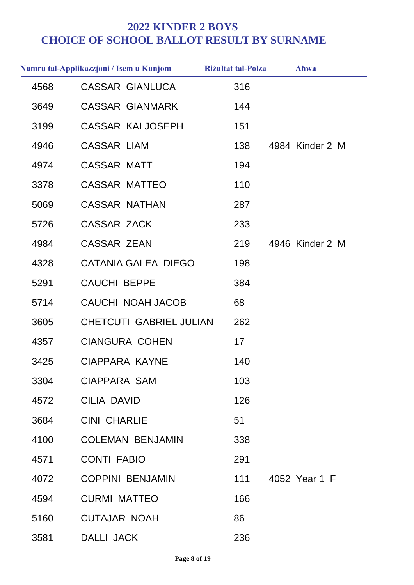|      | Numru tal-Applikazzjoni / Isem u Kunjom | <b>Riżultat tal-Polza</b> | Ahwa            |
|------|-----------------------------------------|---------------------------|-----------------|
| 4568 | <b>CASSAR GIANLUCA</b>                  | 316                       |                 |
| 3649 | <b>CASSAR GIANMARK</b>                  | 144                       |                 |
| 3199 | <b>CASSAR KAI JOSEPH</b>                | 151                       |                 |
| 4946 | <b>CASSAR LIAM</b>                      | 138                       | 4984 Kinder 2 M |
| 4974 | <b>CASSAR MATT</b>                      | 194                       |                 |
| 3378 | <b>CASSAR MATTEO</b>                    | 110                       |                 |
| 5069 | <b>CASSAR NATHAN</b>                    | 287                       |                 |
| 5726 | <b>CASSAR ZACK</b>                      | 233                       |                 |
| 4984 | <b>CASSAR ZEAN</b>                      | 219                       | 4946 Kinder 2 M |
| 4328 | <b>CATANIA GALEA DIEGO</b>              | 198                       |                 |
| 5291 | <b>CAUCHI BEPPE</b>                     | 384                       |                 |
| 5714 | CAUCHI NOAH JACOB                       | 68                        |                 |
| 3605 | <b>CHETCUTI GABRIEL JULIAN</b>          | 262                       |                 |
| 4357 | <b>CIANGURA COHEN</b>                   | 17                        |                 |
| 3425 | CIAPPARA KAYNE                          | 140                       |                 |
| 3304 | <b>CIAPPARA SAM</b>                     | 103                       |                 |
| 4572 | <b>CILIA DAVID</b>                      | 126                       |                 |
| 3684 | <b>CINI CHARLIE</b>                     | 51                        |                 |
| 4100 | <b>COLEMAN BENJAMIN</b>                 | 338                       |                 |
| 4571 | <b>CONTI FABIO</b>                      | 291                       |                 |
| 4072 | <b>COPPINI BENJAMIN</b>                 | 111                       | 4052 Year 1 F   |
| 4594 | <b>CURMI MATTEO</b>                     | 166                       |                 |
| 5160 | <b>CUTAJAR NOAH</b>                     | 86                        |                 |
| 3581 | DALLI JACK                              | 236                       |                 |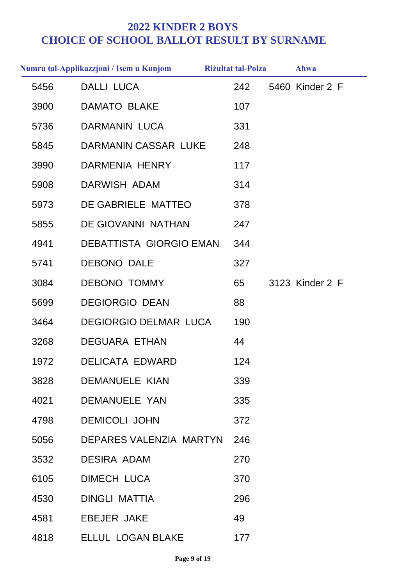|      | Numru tal-Applikazzjoni / Isem u Kunjom | <b>Riżultat tal-Polza</b> | <b>Ahwa</b>     |
|------|-----------------------------------------|---------------------------|-----------------|
| 5456 | <b>DALLI LUCA</b>                       | 242                       | 5460 Kinder 2 F |
| 3900 | <b>DAMATO BLAKE</b>                     | 107                       |                 |
| 5736 | <b>DARMANIN LUCA</b>                    | 331                       |                 |
| 5845 | DARMANIN CASSAR LUKE                    | 248                       |                 |
| 3990 | DARMENIA HENRY                          | 117                       |                 |
| 5908 | DARWISH ADAM                            | 314                       |                 |
| 5973 | DE GABRIELE MATTEO                      | 378                       |                 |
| 5855 | DE GIOVANNI NATHAN                      | 247                       |                 |
| 4941 | <b>DEBATTISTA GIORGIO EMAN</b>          | 344                       |                 |
| 5741 | <b>DEBONO DALE</b>                      | 327                       |                 |
| 3084 | <b>DEBONO TOMMY</b>                     | 65                        | 3123 Kinder 2 F |
| 5699 | <b>DEGIORGIO DEAN</b>                   | 88                        |                 |
| 3464 | <b>DEGIORGIO DELMAR LUCA</b>            | 190                       |                 |
| 3268 | <b>DEGUARA ETHAN</b>                    | 44                        |                 |
| 1972 | <b>DELICATA EDWARD</b>                  | 124                       |                 |
| 3828 | <b>DEMANUELE KIAN</b>                   | 339                       |                 |
| 4021 | <b>DEMANUELE YAN</b>                    | 335                       |                 |
| 4798 | <b>DEMICOLI JOHN</b>                    | 372                       |                 |
| 5056 | DEPARES VALENZIA MARTYN                 | 246                       |                 |
| 3532 | <b>DESIRA ADAM</b>                      | 270                       |                 |
| 6105 | <b>DIMECH LUCA</b>                      | 370                       |                 |
| 4530 | <b>DINGLI MATTIA</b>                    | 296                       |                 |
| 4581 | <b>EBEJER JAKE</b>                      | 49                        |                 |
| 4818 | <b>ELLUL LOGAN BLAKE</b>                | 177                       |                 |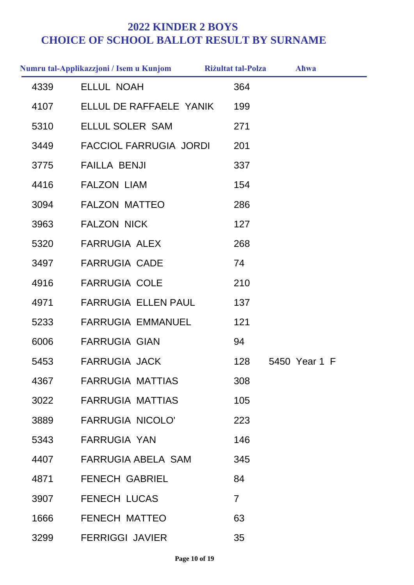|      | Numru tal-Applikazzjoni / Isem u Kunjom | <b>Riżultat tal-Polza</b> | Ahwa          |
|------|-----------------------------------------|---------------------------|---------------|
| 4339 | <b>ELLUL NOAH</b>                       | 364                       |               |
| 4107 | ELLUL DE RAFFAELE YANIK                 | 199                       |               |
| 5310 | ELLUL SOLER SAM                         | 271                       |               |
| 3449 | <b>FACCIOL FARRUGIA JORDI</b>           | 201                       |               |
| 3775 | <b>FAILLA BENJI</b>                     | 337                       |               |
| 4416 | <b>FALZON LIAM</b>                      | 154                       |               |
| 3094 | <b>FALZON MATTEO</b>                    | 286                       |               |
| 3963 | <b>FALZON NICK</b>                      | 127                       |               |
| 5320 | <b>FARRUGIA ALEX</b>                    | 268                       |               |
| 3497 | <b>FARRUGIA CADE</b>                    | 74                        |               |
| 4916 | <b>FARRUGIA COLE</b>                    | 210                       |               |
| 4971 | <b>FARRUGIA ELLEN PAUL</b>              | 137                       |               |
| 5233 | <b>FARRUGIA EMMANUEL</b>                | 121                       |               |
| 6006 | <b>FARRUGIA GIAN</b>                    | 94                        |               |
| 5453 | <b>FARRUGIA JACK</b>                    | 128                       | 5450 Year 1 F |
| 4367 | <b>FARRUGIA MATTIAS</b>                 | 308                       |               |
| 3022 | <b>FARRUGIA MATTIAS</b>                 | 105                       |               |
| 3889 | <b>FARRUGIA NICOLO'</b>                 | 223                       |               |
| 5343 | <b>FARRUGIA YAN</b>                     | 146                       |               |
| 4407 | <b>FARRUGIA ABELA SAM</b>               | 345                       |               |
| 4871 | <b>FENECH GABRIEL</b>                   | 84                        |               |
| 3907 | <b>FENECH LUCAS</b>                     | $\overline{7}$            |               |
| 1666 | <b>FENECH MATTEO</b>                    | 63                        |               |
| 3299 | <b>FERRIGGI JAVIER</b>                  | 35                        |               |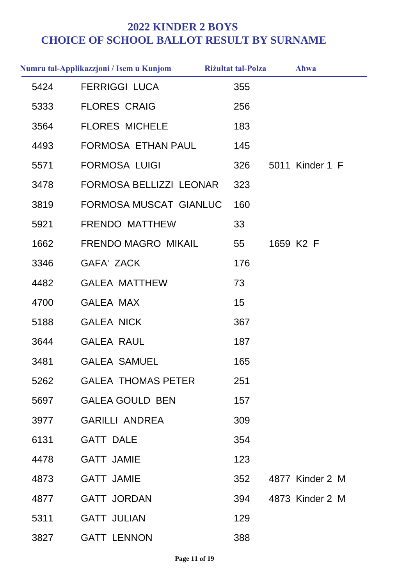|      | Numru tal-Applikazzjoni / Isem u Kunjom | <b>Riżultat tal-Polza</b> | Ahwa            |
|------|-----------------------------------------|---------------------------|-----------------|
| 5424 | <b>FERRIGGI LUCA</b>                    | 355                       |                 |
| 5333 | <b>FLORES CRAIG</b>                     | 256                       |                 |
| 3564 | <b>FLORES MICHELE</b>                   | 183                       |                 |
| 4493 | FORMOSA ETHAN PAUL                      | 145                       |                 |
| 5571 | <b>FORMOSA LUIGI</b>                    | 326                       | 5011 Kinder 1 F |
| 3478 | FORMOSA BELLIZZI LEONAR                 | 323                       |                 |
| 3819 | FORMOSA MUSCAT GIANLUC                  | 160                       |                 |
| 5921 | <b>FRENDO MATTHEW</b>                   | 33                        |                 |
| 1662 | <b>FRENDO MAGRO MIKAIL</b>              | 55                        | 1659 K2 F       |
| 3346 | <b>GAFA' ZACK</b>                       | 176                       |                 |
| 4482 | <b>GALEA MATTHEW</b>                    | 73                        |                 |
| 4700 | <b>GALEA MAX</b>                        | 15                        |                 |
| 5188 | <b>GALEA NICK</b>                       | 367                       |                 |
| 3644 | <b>GALEA RAUL</b>                       | 187                       |                 |
| 3481 | <b>GALEA SAMUEL</b>                     | 165                       |                 |
| 5262 | <b>GALEA THOMAS PETER</b>               | 251                       |                 |
| 5697 | <b>GALEA GOULD BEN</b>                  | 157                       |                 |
| 3977 | <b>GARILLI ANDREA</b>                   | 309                       |                 |
| 6131 | <b>GATT DALE</b>                        | 354                       |                 |
| 4478 | <b>GATT JAMIE</b>                       | 123                       |                 |
| 4873 | <b>GATT JAMIE</b>                       | 352                       | 4877 Kinder 2 M |
| 4877 | <b>GATT JORDAN</b>                      | 394                       | 4873 Kinder 2 M |
| 5311 | <b>GATT JULIAN</b>                      | 129                       |                 |
| 3827 | <b>GATT LENNON</b>                      | 388                       |                 |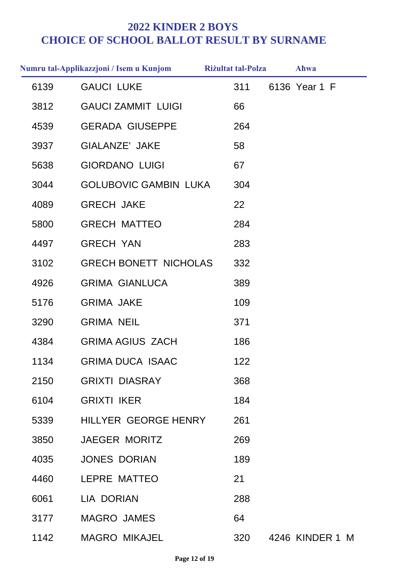|      | Numru tal-Applikazzjoni / Isem u Kunjom | <b>Riżultat tal-Polza</b> | Ahwa            |
|------|-----------------------------------------|---------------------------|-----------------|
| 6139 | <b>GAUCI LUKE</b>                       | 311                       | 6136 Year 1 F   |
| 3812 | <b>GAUCI ZAMMIT LUIGI</b>               | 66                        |                 |
| 4539 | <b>GERADA GIUSEPPE</b>                  | 264                       |                 |
| 3937 | <b>GIALANZE' JAKE</b>                   | 58                        |                 |
| 5638 | <b>GIORDANO LUIGI</b>                   | 67                        |                 |
| 3044 | <b>GOLUBOVIC GAMBIN LUKA</b>            | 304                       |                 |
| 4089 | <b>GRECH JAKE</b>                       | 22                        |                 |
| 5800 | <b>GRECH MATTEO</b>                     | 284                       |                 |
| 4497 | <b>GRECH YAN</b>                        | 283                       |                 |
| 3102 | <b>GRECH BONETT NICHOLAS</b>            | 332                       |                 |
| 4926 | <b>GRIMA GIANLUCA</b>                   | 389                       |                 |
| 5176 | <b>GRIMA JAKE</b>                       | 109                       |                 |
| 3290 | <b>GRIMA NEIL</b>                       | 371                       |                 |
| 4384 | <b>GRIMA AGIUS ZACH</b>                 | 186                       |                 |
| 1134 | <b>GRIMA DUCA ISAAC</b>                 | 122                       |                 |
| 2150 | <b>GRIXTI DIASRAY</b>                   | 368                       |                 |
| 6104 | <b>GRIXTI IKER</b>                      | 184                       |                 |
| 5339 | HILLYER GEORGE HENRY                    | 261                       |                 |
| 3850 | <b>JAEGER MORITZ</b>                    | 269                       |                 |
| 4035 | <b>JONES DORIAN</b>                     | 189                       |                 |
| 4460 | LEPRE MATTEO                            | 21                        |                 |
| 6061 | <b>LIA DORIAN</b>                       | 288                       |                 |
| 3177 | <b>MAGRO JAMES</b>                      | 64                        |                 |
| 1142 | <b>MAGRO MIKAJEL</b>                    | 320                       | 4246 KINDER 1 M |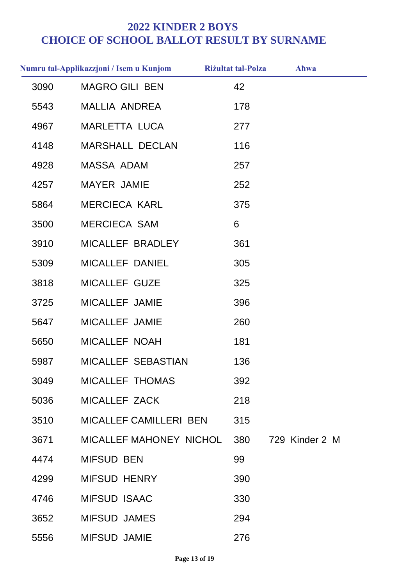|      | Numru tal-Applikazzjoni / Isem u Kunjom | <b>Riżultat tal-Polza</b> | Ahwa           |
|------|-----------------------------------------|---------------------------|----------------|
| 3090 | <b>MAGRO GILI BEN</b>                   | 42                        |                |
| 5543 | MALLIA ANDREA                           | 178                       |                |
| 4967 | <b>MARLETTA LUCA</b>                    | 277                       |                |
| 4148 | <b>MARSHALL DECLAN</b>                  | 116                       |                |
| 4928 | <b>MASSA ADAM</b>                       | 257                       |                |
| 4257 | MAYER JAMIE                             | 252                       |                |
| 5864 | <b>MERCIECA KARL</b>                    | 375                       |                |
| 3500 | <b>MERCIECA SAM</b>                     | 6                         |                |
| 3910 | MICALLEF BRADLEY                        | 361                       |                |
| 5309 | <b>MICALLEF DANIEL</b>                  | 305                       |                |
| 3818 | MICALLEF GUZE                           | 325                       |                |
| 3725 | MICALLEF JAMIE                          | 396                       |                |
| 5647 | MICALLEF JAMIE                          | 260                       |                |
| 5650 | MICALLEF NOAH                           | 181                       |                |
| 5987 | MICALLEF SEBASTIAN                      | 136                       |                |
| 3049 | MICALLEF THOMAS                         | 392                       |                |
| 5036 | MICALLEF ZACK                           | 218                       |                |
| 3510 | MICALLEF CAMILLERI BEN                  | 315                       |                |
| 3671 | MICALLEF MAHONEY NICHOL                 | 380                       | 729 Kinder 2 M |
| 4474 | <b>MIFSUD BEN</b>                       | 99                        |                |
| 4299 | <b>MIFSUD HENRY</b>                     | 390                       |                |
| 4746 | <b>MIFSUD ISAAC</b>                     | 330                       |                |
| 3652 | <b>MIFSUD JAMES</b>                     | 294                       |                |
| 5556 | <b>MIFSUD JAMIE</b>                     | 276                       |                |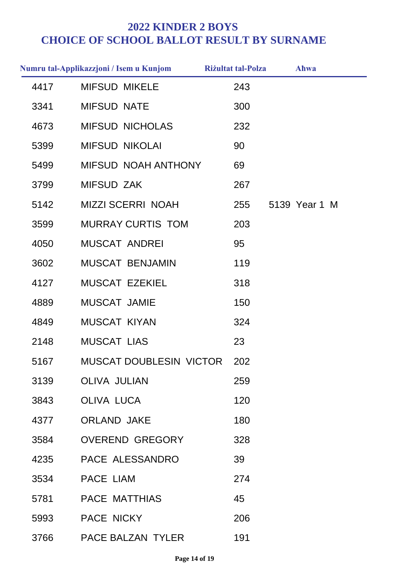|      | Numru tal-Applikazzjoni / Isem u Kunjom | <b>Riżultat tal-Polza</b> | Ahwa          |
|------|-----------------------------------------|---------------------------|---------------|
| 4417 | <b>MIFSUD MIKELE</b>                    | 243                       |               |
| 3341 | <b>MIFSUD NATE</b>                      | 300                       |               |
| 4673 | <b>MIFSUD NICHOLAS</b>                  | 232                       |               |
| 5399 | <b>MIFSUD NIKOLAI</b>                   | 90                        |               |
| 5499 | MIFSUD NOAH ANTHONY                     | 69                        |               |
| 3799 | <b>MIFSUD ZAK</b>                       | 267                       |               |
| 5142 | <b>MIZZI SCERRI NOAH</b>                | 255                       | 5139 Year 1 M |
| 3599 | <b>MURRAY CURTIS TOM</b>                | 203                       |               |
| 4050 | <b>MUSCAT ANDREI</b>                    | 95                        |               |
| 3602 | <b>MUSCAT BENJAMIN</b>                  | 119                       |               |
| 4127 | <b>MUSCAT EZEKIEL</b>                   | 318                       |               |
| 4889 | MUSCAT JAMIE                            | 150                       |               |
| 4849 | <b>MUSCAT KIYAN</b>                     | 324                       |               |
| 2148 | <b>MUSCAT LIAS</b>                      | 23                        |               |
| 5167 | <b>MUSCAT DOUBLESIN VICTOR</b>          | 202                       |               |
| 3139 | <b>OLIVA JULIAN</b>                     | 259                       |               |
| 3843 | <b>OLIVA LUCA</b>                       | 120                       |               |
| 4377 | <b>ORLAND JAKE</b>                      | 180                       |               |
| 3584 | <b>OVEREND GREGORY</b>                  | 328                       |               |
| 4235 | PACE ALESSANDRO                         | 39                        |               |
| 3534 | PACE LIAM                               | 274                       |               |
| 5781 | <b>PACE MATTHIAS</b>                    | 45                        |               |
| 5993 | PACE NICKY                              | 206                       |               |
| 3766 | PACE BALZAN TYLER                       | 191                       |               |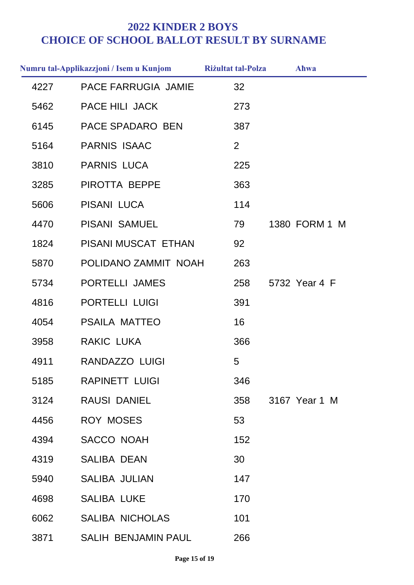|      | Numru tal-Applikazzjoni / Isem u Kunjom | <b>Riżultat tal-Polza</b> | Ahwa          |
|------|-----------------------------------------|---------------------------|---------------|
| 4227 | <b>PACE FARRUGIA JAMIE</b>              | 32                        |               |
| 5462 | <b>PACE HILI JACK</b>                   | 273                       |               |
| 6145 | PACE SPADARO BEN                        | 387                       |               |
| 5164 | <b>PARNIS ISAAC</b>                     | 2                         |               |
| 3810 | <b>PARNIS LUCA</b>                      | 225                       |               |
| 3285 | PIROTTA BEPPE                           | 363                       |               |
| 5606 | <b>PISANI LUCA</b>                      | 114                       |               |
| 4470 | <b>PISANI SAMUEL</b>                    | 79                        | 1380 FORM 1 M |
| 1824 | PISANI MUSCAT ETHAN                     | 92                        |               |
| 5870 | POLIDANO ZAMMIT NOAH                    | 263                       |               |
| 5734 | PORTELLI JAMES                          | 258                       | 5732 Year 4 F |
| 4816 | <b>PORTELLI LUIGI</b>                   | 391                       |               |
| 4054 | <b>PSAILA MATTEO</b>                    | 16                        |               |
| 3958 | <b>RAKIC LUKA</b>                       | 366                       |               |
| 4911 | <b>RANDAZZO LUIGI</b>                   | 5                         |               |
| 5185 | <b>RAPINETT LUIGI</b>                   | 346                       |               |
| 3124 | <b>RAUSI DANIEL</b>                     | 358                       | 3167 Year 1 M |
| 4456 | <b>ROY MOSES</b>                        | 53                        |               |
| 4394 | <b>SACCO NOAH</b>                       | 152                       |               |
| 4319 | <b>SALIBA DEAN</b>                      | 30                        |               |
| 5940 | <b>SALIBA JULIAN</b>                    | 147                       |               |
| 4698 | <b>SALIBA LUKE</b>                      | 170                       |               |
| 6062 | <b>SALIBA NICHOLAS</b>                  | 101                       |               |
| 3871 | <b>SALIH BENJAMIN PAUL</b>              | 266                       |               |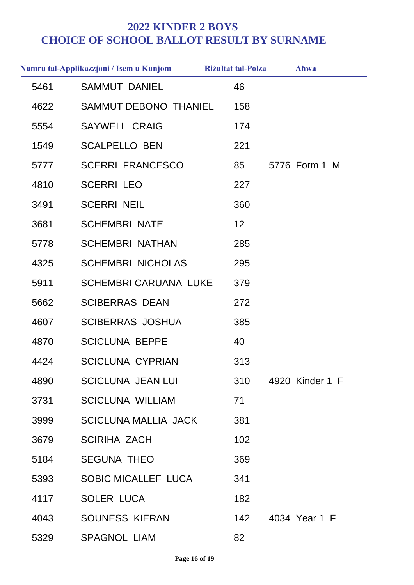|      | Numru tal-Applikazzjoni / Isem u Kunjom | <b>Riżultat tal-Polza</b> | Ahwa            |
|------|-----------------------------------------|---------------------------|-----------------|
| 5461 | <b>SAMMUT DANIEL</b>                    | 46                        |                 |
| 4622 | SAMMUT DEBONO THANIEL                   | 158                       |                 |
| 5554 | <b>SAYWELL CRAIG</b>                    | 174                       |                 |
| 1549 | <b>SCALPELLO BEN</b>                    | 221                       |                 |
| 5777 | <b>SCERRI FRANCESCO</b>                 | 85                        | 5776 Form 1 M   |
| 4810 | <b>SCERRI LEO</b>                       | 227                       |                 |
| 3491 | <b>SCERRI NEIL</b>                      | 360                       |                 |
| 3681 | <b>SCHEMBRI NATE</b>                    | $12 \overline{ }$         |                 |
| 5778 | <b>SCHEMBRI NATHAN</b>                  | 285                       |                 |
| 4325 | <b>SCHEMBRI NICHOLAS</b>                | 295                       |                 |
| 5911 | <b>SCHEMBRI CARUANA LUKE</b>            | 379                       |                 |
| 5662 | <b>SCIBERRAS DEAN</b>                   | 272                       |                 |
| 4607 | <b>SCIBERRAS JOSHUA</b>                 | 385                       |                 |
| 4870 | <b>SCICLUNA BEPPE</b>                   | 40                        |                 |
| 4424 | <b>SCICLUNA CYPRIAN</b>                 | 313                       |                 |
| 4890 | <b>SCICLUNA JEAN LUI</b>                | 310                       | 4920 Kinder 1 F |
| 3731 | <b>SCICLUNA WILLIAM</b>                 | 71                        |                 |
| 3999 | <b>SCICLUNA MALLIA JACK</b>             | 381                       |                 |
| 3679 | <b>SCIRIHA ZACH</b>                     | 102                       |                 |
| 5184 | <b>SEGUNA THEO</b>                      | 369                       |                 |
| 5393 | <b>SOBIC MICALLEF LUCA</b>              | 341                       |                 |
| 4117 | <b>SOLER LUCA</b>                       | 182                       |                 |
| 4043 | <b>SOUNESS KIERAN</b>                   | 142                       | 4034 Year 1 F   |
| 5329 | <b>SPAGNOL LIAM</b>                     | 82                        |                 |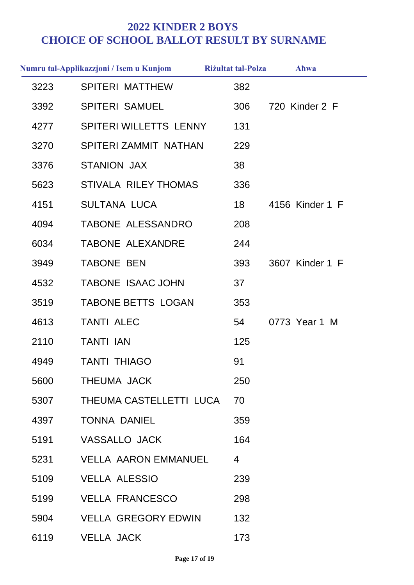|      | Numru tal-Applikazzjoni / Isem u Kunjom | <b>Riżultat tal-Polza</b> | Ahwa            |
|------|-----------------------------------------|---------------------------|-----------------|
| 3223 | <b>SPITERI MATTHEW</b>                  | 382                       |                 |
| 3392 | <b>SPITERI SAMUEL</b>                   | 306                       | 720 Kinder 2 F  |
| 4277 | SPITERI WILLETTS LENNY                  | 131                       |                 |
| 3270 | SPITERI ZAMMIT NATHAN                   | 229                       |                 |
| 3376 | <b>STANION JAX</b>                      | 38                        |                 |
| 5623 | <b>STIVALA RILEY THOMAS</b>             | 336                       |                 |
| 4151 | <b>SULTANA LUCA</b>                     | 18                        | 4156 Kinder 1 F |
| 4094 | TABONE ALESSANDRO                       | 208                       |                 |
| 6034 | <b>TABONE ALEXANDRE</b>                 | 244                       |                 |
| 3949 | <b>TABONE BEN</b>                       | 393                       | 3607 Kinder 1 F |
| 4532 | <b>TABONE ISAAC JOHN</b>                | 37                        |                 |
| 3519 | <b>TABONE BETTS LOGAN</b>               | 353                       |                 |
| 4613 | <b>TANTI ALEC</b>                       | 54                        | 0773 Year 1 M   |
| 2110 | <b>TANTI IAN</b>                        | 125                       |                 |
| 4949 | <b>TANTI THIAGO</b>                     | 91                        |                 |
| 5600 | THEUMA JACK                             | 250                       |                 |
| 5307 | THEUMA CASTELLETTI LUCA                 | 70                        |                 |
| 4397 | <b>TONNA DANIEL</b>                     | 359                       |                 |
| 5191 | <b>VASSALLO JACK</b>                    | 164                       |                 |
| 5231 | <b>VELLA AARON EMMANUEL</b>             | 4                         |                 |
| 5109 | <b>VELLA ALESSIO</b>                    | 239                       |                 |
| 5199 | <b>VELLA FRANCESCO</b>                  | 298                       |                 |
| 5904 | <b>VELLA GREGORY EDWIN</b>              | 132                       |                 |
| 6119 | <b>VELLA JACK</b>                       | 173                       |                 |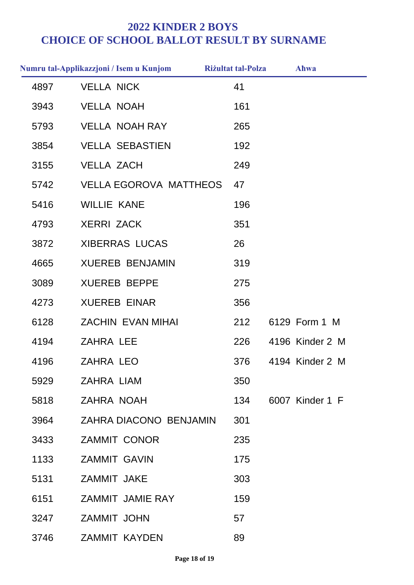|      | Numru tal-Applikazzjoni / Isem u Kunjom | <b>Riżultat tal-Polza</b> | Ahwa            |
|------|-----------------------------------------|---------------------------|-----------------|
| 4897 | <b>VELLA NICK</b>                       | 41                        |                 |
| 3943 | <b>VELLA NOAH</b>                       | 161                       |                 |
| 5793 | <b>VELLA NOAH RAY</b>                   | 265                       |                 |
| 3854 | <b>VELLA SEBASTIEN</b>                  | 192                       |                 |
| 3155 | <b>VELLA ZACH</b>                       | 249                       |                 |
| 5742 | <b>VELLA EGOROVA MATTHEOS</b>           | 47                        |                 |
| 5416 | <b>WILLIE KANE</b>                      | 196                       |                 |
| 4793 | <b>XERRI ZACK</b>                       | 351                       |                 |
| 3872 | <b>XIBERRAS LUCAS</b>                   | 26                        |                 |
| 4665 | <b>XUEREB BENJAMIN</b>                  | 319                       |                 |
| 3089 | <b>XUEREB BEPPE</b>                     | 275                       |                 |
| 4273 | <b>XUEREB EINAR</b>                     | 356                       |                 |
| 6128 | <b>ZACHIN EVAN MIHAI</b>                | 212                       | 6129 Form 1 M   |
| 4194 | <b>ZAHRA LEE</b>                        | 226                       | 4196 Kinder 2 M |
| 4196 | <b>ZAHRA LEO</b>                        | 376                       | 4194 Kinder 2 M |
| 5929 | <b>ZAHRA LIAM</b>                       | 350                       |                 |
| 5818 | <b>ZAHRA NOAH</b>                       | 134                       | 6007 Kinder 1 F |
| 3964 | ZAHRA DIACONO BENJAMIN                  | 301                       |                 |
| 3433 | <b>ZAMMIT CONOR</b>                     | 235                       |                 |
| 1133 | <b>ZAMMIT GAVIN</b>                     | 175                       |                 |
| 5131 | ZAMMIT JAKE                             | 303                       |                 |
| 6151 | <b>ZAMMIT JAMIE RAY</b>                 | 159                       |                 |
| 3247 | <b>ZAMMIT JOHN</b>                      | 57                        |                 |
| 3746 | <b>ZAMMIT KAYDEN</b>                    | 89                        |                 |